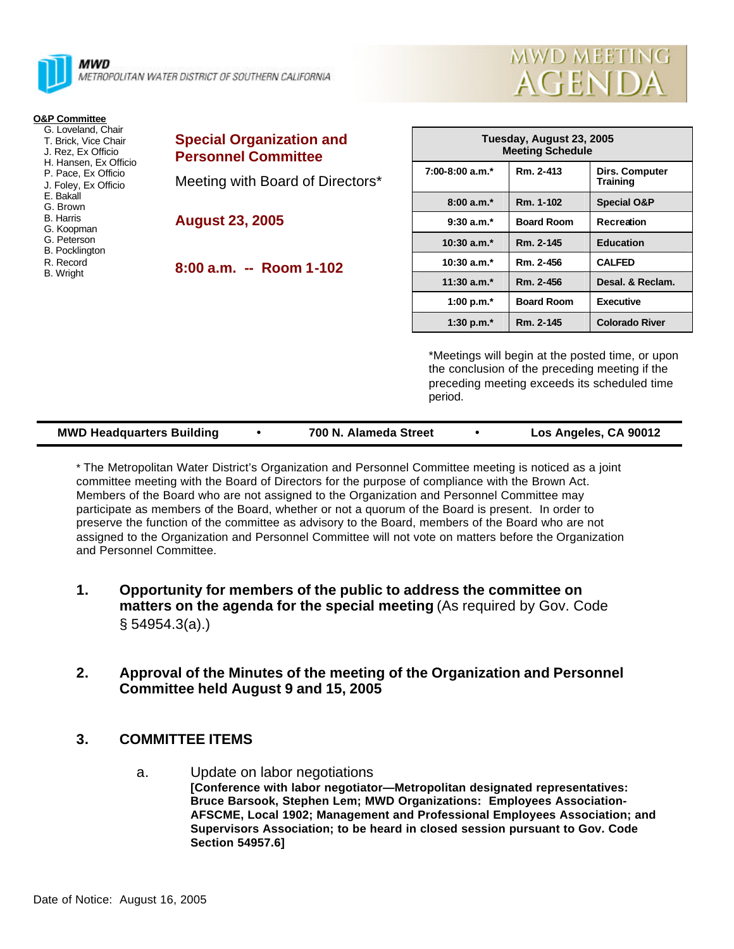

MWD METROPOLITAN WATER DISTRICT OF SOUTHERN CALIFORNIA

| MWD MEETING |  |
|-------------|--|
| AGENDA      |  |

| <b>O&amp;P Committee</b>                                                                                                                                          |                                                               |
|-------------------------------------------------------------------------------------------------------------------------------------------------------------------|---------------------------------------------------------------|
| G. Loveland, Chair<br>T. Brick, Vice Chair<br>J. Rez. Ex Officio<br>H. Hansen, Ex Officio<br>P. Pace, Ex Officio<br>J. Foley, Ex Officio<br>F. Bakall<br>G. Brown | <b>Special Organization and</b><br><b>Personnel Committee</b> |
|                                                                                                                                                                   | Meeting with Board of Directors*                              |
| <b>B.</b> Harris<br>G. Koopman<br>G. Peterson<br><b>B.</b> Pocklington                                                                                            | <b>August 23, 2005</b>                                        |
| R. Record<br><b>B.</b> Wright                                                                                                                                     | $8:00$ a.m. $-$ Room 1-102                                    |
|                                                                                                                                                                   |                                                               |

| Tuesday, August 23, 2005<br><b>Meeting Schedule</b> |                   |                                   |  |  |  |
|-----------------------------------------------------|-------------------|-----------------------------------|--|--|--|
| $7:00-8:00$ a.m. <sup>*</sup>                       | Rm. 2-413         | Dirs. Computer<br><b>Training</b> |  |  |  |
| $8:00a.m.*$                                         | Rm. 1-102         | <b>Special O&amp;P</b>            |  |  |  |
| $9:30$ a.m. <sup>*</sup>                            | <b>Board Room</b> | Recreation                        |  |  |  |
| $10:30$ a.m. <sup>*</sup>                           | Rm. 2-145         | <b>Education</b>                  |  |  |  |
| $10:30$ a.m. <sup>*</sup>                           | Rm. 2-456         | <b>CALFED</b>                     |  |  |  |
| $11:30$ a.m. <sup>*</sup>                           | Rm. 2-456         | Desal. & Reclam.                  |  |  |  |
| 1:00 p.m. $*$                                       | <b>Board Room</b> | Executive                         |  |  |  |
| 1:30 p.m. $*$                                       | Rm. 2-145         | <b>Colorado River</b>             |  |  |  |

\*Meetings will begin at the posted time, or upon the conclusion of the preceding meeting if the preceding meeting exceeds its scheduled time period.

| <b>MWD Headquarters Building</b> |  | 700 N. Alameda Street |  | Los Angeles, CA 90012 |
|----------------------------------|--|-----------------------|--|-----------------------|
|----------------------------------|--|-----------------------|--|-----------------------|

\* The Metropolitan Water District's Organization and Personnel Committee meeting is noticed as a joint committee meeting with the Board of Directors for the purpose of compliance with the Brown Act. Members of the Board who are not assigned to the Organization and Personnel Committee may participate as members of the Board, whether or not a quorum of the Board is present. In order to preserve the function of the committee as advisory to the Board, members of the Board who are not assigned to the Organization and Personnel Committee will not vote on matters before the Organization and Personnel Committee.

- **1. Opportunity for members of the public to address the committee on matters on the agenda for the special meeting** (As required by Gov. Code § 54954.3(a).)
- **2. Approval of the Minutes of the meeting of the Organization and Personnel Committee held August 9 and 15, 2005**

## **3. COMMITTEE ITEMS**

a. Update on labor negotiations **[Conference with labor negotiator—Metropolitan designated representatives: Bruce Barsook, Stephen Lem; MWD Organizations: Employees Association-AFSCME, Local 1902; Management and Professional Employees Association; and Supervisors Association; to be heard in closed session pursuant to Gov. Code Section 54957.6]**